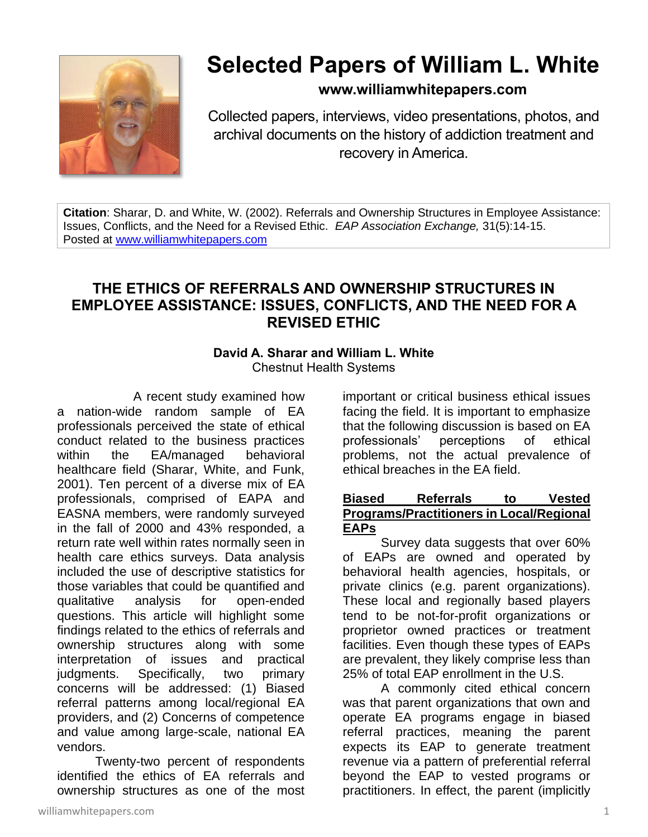

# **Selected Papers of William L. White**

## **www.williamwhitepapers.com**

Collected papers, interviews, video presentations, photos, and archival documents on the history of addiction treatment and recovery in America.

**Citation**: Sharar, D. and White, W. (2002). Referrals and Ownership Structures in Employee Assistance: Issues, Conflicts, and the Need for a Revised Ethic. *EAP Association Exchange,* 31(5):14-15. Posted at [www.williamwhitepapers.com](http://www.williamwhitepapers.com/)

## **THE ETHICS OF REFERRALS AND OWNERSHIP STRUCTURES IN EMPLOYEE ASSISTANCE: ISSUES, CONFLICTS, AND THE NEED FOR A REVISED ETHIC**

# **David A. Sharar and William L. White**

Chestnut Health Systems

A recent study examined how a nation-wide random sample of EA professionals perceived the state of ethical conduct related to the business practices within the EA/managed behavioral healthcare field (Sharar, White, and Funk, 2001). Ten percent of a diverse mix of EA professionals, comprised of EAPA and EASNA members, were randomly surveyed in the fall of 2000 and 43% responded, a return rate well within rates normally seen in health care ethics surveys. Data analysis included the use of descriptive statistics for those variables that could be quantified and qualitative analysis for open-ended questions. This article will highlight some findings related to the ethics of referrals and ownership structures along with some interpretation of issues and practical judgments. Specifically, two primary concerns will be addressed: (1) Biased referral patterns among local/regional EA providers, and (2) Concerns of competence and value among large-scale, national EA vendors.

Twenty-two percent of respondents identified the ethics of EA referrals and ownership structures as one of the most

williamwhitepapers.com 1

important or critical business ethical issues facing the field. It is important to emphasize that the following discussion is based on EA professionals' perceptions of ethical problems, not the actual prevalence of ethical breaches in the EA field.

#### **Biased Referrals to Vested Programs/Practitioners in Local/Regional EAPs**

Survey data suggests that over 60% of EAPs are owned and operated by behavioral health agencies, hospitals, or private clinics (e.g. parent organizations). These local and regionally based players tend to be not-for-profit organizations or proprietor owned practices or treatment facilities. Even though these types of EAPs are prevalent, they likely comprise less than 25% of total EAP enrollment in the U.S.

A commonly cited ethical concern was that parent organizations that own and operate EA programs engage in biased referral practices, meaning the parent expects its EAP to generate treatment revenue via a pattern of preferential referral beyond the EAP to vested programs or practitioners. In effect, the parent (implicitly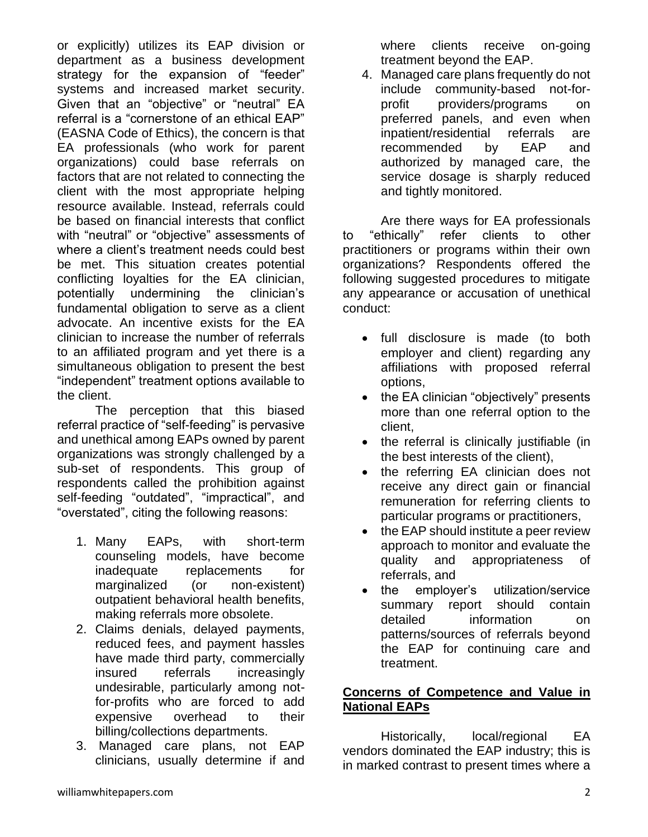or explicitly) utilizes its EAP division or department as a business development strategy for the expansion of "feeder" systems and increased market security. Given that an "objective" or "neutral" EA referral is a "cornerstone of an ethical EAP" (EASNA Code of Ethics), the concern is that EA professionals (who work for parent organizations) could base referrals on factors that are not related to connecting the client with the most appropriate helping resource available. Instead, referrals could be based on financial interests that conflict with "neutral" or "objective" assessments of where a client's treatment needs could best be met. This situation creates potential conflicting loyalties for the EA clinician, potentially undermining the clinician's fundamental obligation to serve as a client advocate. An incentive exists for the EA clinician to increase the number of referrals to an affiliated program and yet there is a simultaneous obligation to present the best "independent" treatment options available to the client.

The perception that this biased referral practice of "self-feeding" is pervasive and unethical among EAPs owned by parent organizations was strongly challenged by a sub-set of respondents. This group of respondents called the prohibition against self-feeding "outdated", "impractical", and "overstated", citing the following reasons:

- 1. Many EAPs, with short-term counseling models, have become inadequate replacements for marginalized (or non-existent) outpatient behavioral health benefits, making referrals more obsolete.
- 2. Claims denials, delayed payments, reduced fees, and payment hassles have made third party, commercially insured referrals increasingly undesirable, particularly among notfor-profits who are forced to add expensive overhead to their billing/collections departments.
- 3. Managed care plans, not EAP clinicians, usually determine if and

where clients receive on-going treatment beyond the EAP.

4. Managed care plans frequently do not include community-based not-forprofit providers/programs on preferred panels, and even when inpatient/residential referrals are recommended by EAP and authorized by managed care, the service dosage is sharply reduced and tightly monitored.

Are there ways for EA professionals to "ethically" refer clients to other practitioners or programs within their own organizations? Respondents offered the following suggested procedures to mitigate any appearance or accusation of unethical conduct:

- full disclosure is made (to both employer and client) regarding any affiliations with proposed referral options,
- the EA clinician "objectively" presents more than one referral option to the client,
- the referral is clinically justifiable (in the best interests of the client),
- the referring EA clinician does not receive any direct gain or financial remuneration for referring clients to particular programs or practitioners,
- the EAP should institute a peer review approach to monitor and evaluate the quality and appropriateness of referrals, and
- the employer's utilization/service summary report should contain detailed information on patterns/sources of referrals beyond the EAP for continuing care and treatment.

### **Concerns of Competence and Value in National EAPs**

Historically, local/regional EA vendors dominated the EAP industry; this is in marked contrast to present times where a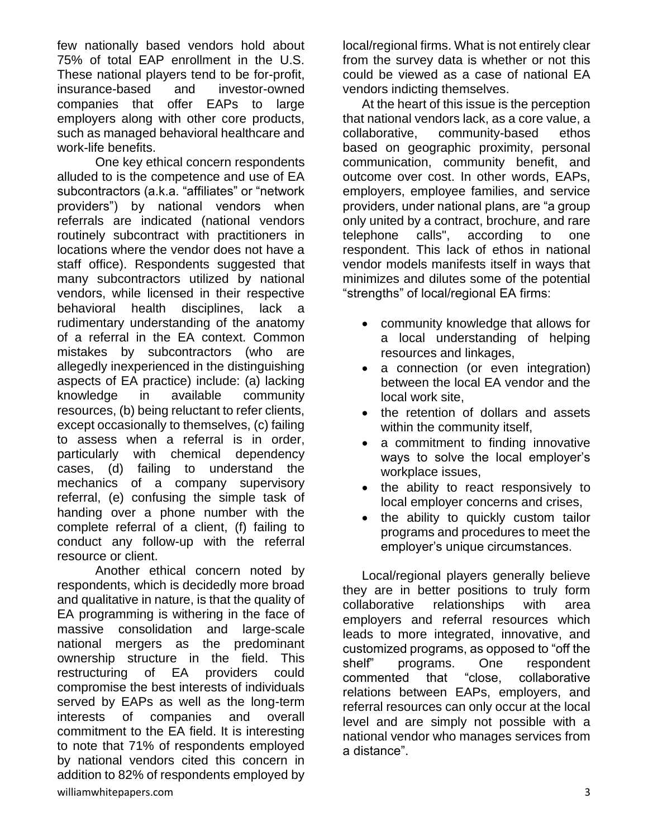few nationally based vendors hold about 75% of total EAP enrollment in the U.S. These national players tend to be for-profit, insurance-based and investor-owned companies that offer EAPs to large employers along with other core products, such as managed behavioral healthcare and work-life benefits.

One key ethical concern respondents alluded to is the competence and use of EA subcontractors (a.k.a. "affiliates" or "network providers") by national vendors when referrals are indicated (national vendors routinely subcontract with practitioners in locations where the vendor does not have a staff office). Respondents suggested that many subcontractors utilized by national vendors, while licensed in their respective behavioral health disciplines, lack a rudimentary understanding of the anatomy of a referral in the EA context. Common mistakes by subcontractors (who are allegedly inexperienced in the distinguishing aspects of EA practice) include: (a) lacking knowledge in available community resources, (b) being reluctant to refer clients, except occasionally to themselves, (c) failing to assess when a referral is in order, particularly with chemical dependency cases, (d) failing to understand the mechanics of a company supervisory referral, (e) confusing the simple task of handing over a phone number with the complete referral of a client, (f) failing to conduct any follow-up with the referral resource or client.

Another ethical concern noted by respondents, which is decidedly more broad and qualitative in nature, is that the quality of EA programming is withering in the face of massive consolidation and large-scale national mergers as the predominant ownership structure in the field. This restructuring of EA providers could compromise the best interests of individuals served by EAPs as well as the long-term interests of companies and overall commitment to the EA field. It is interesting to note that 71% of respondents employed by national vendors cited this concern in addition to 82% of respondents employed by

local/regional firms. What is not entirely clear from the survey data is whether or not this could be viewed as a case of national EA vendors indicting themselves.

At the heart of this issue is the perception that national vendors lack, as a core value, a collaborative, community-based ethos based on geographic proximity, personal communication, community benefit, and outcome over cost. In other words, EAPs, employers, employee families, and service providers, under national plans, are "a group only united by a contract, brochure, and rare telephone calls", according to one respondent. This lack of ethos in national vendor models manifests itself in ways that minimizes and dilutes some of the potential "strengths" of local/regional EA firms:

- community knowledge that allows for a local understanding of helping resources and linkages,
- a connection (or even integration) between the local EA vendor and the local work site,
- the retention of dollars and assets within the community itself,
- a commitment to finding innovative ways to solve the local employer's workplace issues,
- the ability to react responsively to local employer concerns and crises,
- the ability to quickly custom tailor programs and procedures to meet the employer's unique circumstances.

Local/regional players generally believe they are in better positions to truly form collaborative relationships with area employers and referral resources which leads to more integrated, innovative, and customized programs, as opposed to "off the shelf" programs. One respondent commented that "close, collaborative relations between EAPs, employers, and referral resources can only occur at the local level and are simply not possible with a national vendor who manages services from a distance".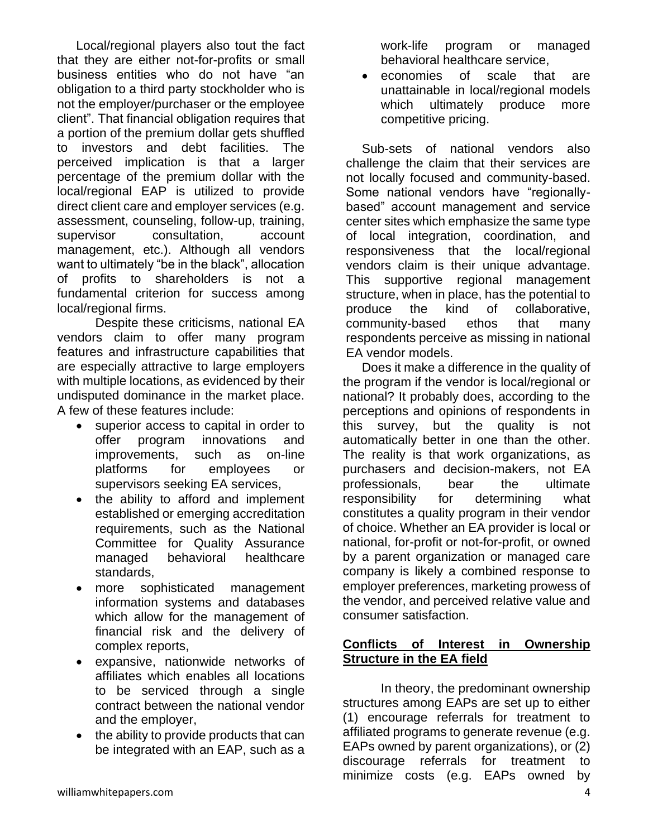Local/regional players also tout the fact that they are either not-for-profits or small business entities who do not have "an obligation to a third party stockholder who is not the employer/purchaser or the employee client". That financial obligation requires that a portion of the premium dollar gets shuffled to investors and debt facilities. The perceived implication is that a larger percentage of the premium dollar with the local/regional EAP is utilized to provide direct client care and employer services (e.g. assessment, counseling, follow-up, training, supervisor consultation, account management, etc.). Although all vendors want to ultimately "be in the black", allocation of profits to shareholders is not a fundamental criterion for success among local/regional firms.

Despite these criticisms, national EA vendors claim to offer many program features and infrastructure capabilities that are especially attractive to large employers with multiple locations, as evidenced by their undisputed dominance in the market place. A few of these features include:

- superior access to capital in order to offer program innovations and improvements, such as on-line platforms for employees or supervisors seeking EA services,
- the ability to afford and implement established or emerging accreditation requirements, such as the National Committee for Quality Assurance managed behavioral healthcare standards,
- more sophisticated management information systems and databases which allow for the management of financial risk and the delivery of complex reports,
- expansive, nationwide networks of affiliates which enables all locations to be serviced through a single contract between the national vendor and the employer,
- the ability to provide products that can be integrated with an EAP, such as a

work-life program or managed behavioral healthcare service,

economies of scale that are unattainable in local/regional models which ultimately produce more competitive pricing.

Sub-sets of national vendors also challenge the claim that their services are not locally focused and community-based. Some national vendors have "regionallybased" account management and service center sites which emphasize the same type of local integration, coordination, and responsiveness that the local/regional vendors claim is their unique advantage. This supportive regional management structure, when in place, has the potential to produce the kind of collaborative, community-based ethos that many respondents perceive as missing in national EA vendor models.

Does it make a difference in the quality of the program if the vendor is local/regional or national? It probably does, according to the perceptions and opinions of respondents in this survey, but the quality is not automatically better in one than the other. The reality is that work organizations, as purchasers and decision-makers, not EA professionals, bear the ultimate responsibility for determining what constitutes a quality program in their vendor of choice. Whether an EA provider is local or national, for-profit or not-for-profit, or owned by a parent organization or managed care company is likely a combined response to employer preferences, marketing prowess of the vendor, and perceived relative value and consumer satisfaction.

#### **Conflicts of Interest in Ownership Structure in the EA field**

In theory, the predominant ownership structures among EAPs are set up to either (1) encourage referrals for treatment to affiliated programs to generate revenue (e.g. EAPs owned by parent organizations), or (2) discourage referrals for treatment to minimize costs (e.g. EAPs owned by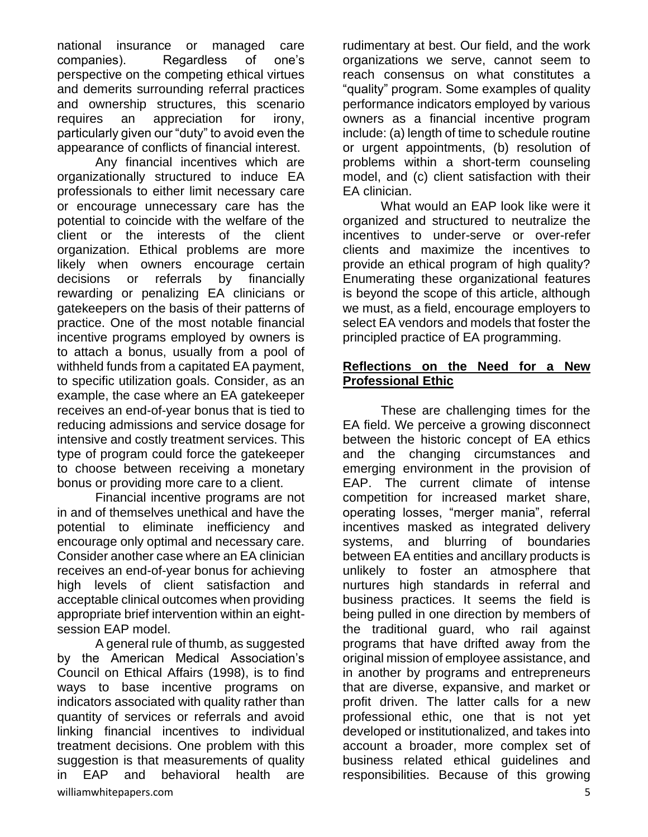national insurance or managed care companies). Regardless of one's perspective on the competing ethical virtues and demerits surrounding referral practices and ownership structures, this scenario requires an appreciation for irony, particularly given our "duty" to avoid even the appearance of conflicts of financial interest.

Any financial incentives which are organizationally structured to induce EA professionals to either limit necessary care or encourage unnecessary care has the potential to coincide with the welfare of the client or the interests of the client organization. Ethical problems are more likely when owners encourage certain decisions or referrals by financially rewarding or penalizing EA clinicians or gatekeepers on the basis of their patterns of practice. One of the most notable financial incentive programs employed by owners is to attach a bonus, usually from a pool of withheld funds from a capitated EA payment, to specific utilization goals. Consider, as an example, the case where an EA gatekeeper receives an end-of-year bonus that is tied to reducing admissions and service dosage for intensive and costly treatment services. This type of program could force the gatekeeper to choose between receiving a monetary bonus or providing more care to a client.

Financial incentive programs are not in and of themselves unethical and have the potential to eliminate inefficiency and encourage only optimal and necessary care. Consider another case where an EA clinician receives an end-of-year bonus for achieving high levels of client satisfaction and acceptable clinical outcomes when providing appropriate brief intervention within an eightsession EAP model.

williamwhitepapers.com 5 A general rule of thumb, as suggested by the American Medical Association's Council on Ethical Affairs (1998), is to find ways to base incentive programs on indicators associated with quality rather than quantity of services or referrals and avoid linking financial incentives to individual treatment decisions. One problem with this suggestion is that measurements of quality in EAP and behavioral health are

rudimentary at best. Our field, and the work organizations we serve, cannot seem to reach consensus on what constitutes a "quality" program. Some examples of quality performance indicators employed by various owners as a financial incentive program include: (a) length of time to schedule routine or urgent appointments, (b) resolution of problems within a short-term counseling model, and (c) client satisfaction with their EA clinician.

What would an EAP look like were it organized and structured to neutralize the incentives to under-serve or over-refer clients and maximize the incentives to provide an ethical program of high quality? Enumerating these organizational features is beyond the scope of this article, although we must, as a field, encourage employers to select EA vendors and models that foster the principled practice of EA programming.

#### **Reflections on the Need for a New Professional Ethic**

These are challenging times for the EA field. We perceive a growing disconnect between the historic concept of EA ethics and the changing circumstances and emerging environment in the provision of EAP. The current climate of intense competition for increased market share, operating losses, "merger mania", referral incentives masked as integrated delivery systems, and blurring of boundaries between EA entities and ancillary products is unlikely to foster an atmosphere that nurtures high standards in referral and business practices. It seems the field is being pulled in one direction by members of the traditional guard, who rail against programs that have drifted away from the original mission of employee assistance, and in another by programs and entrepreneurs that are diverse, expansive, and market or profit driven. The latter calls for a new professional ethic, one that is not yet developed or institutionalized, and takes into account a broader, more complex set of business related ethical guidelines and responsibilities. Because of this growing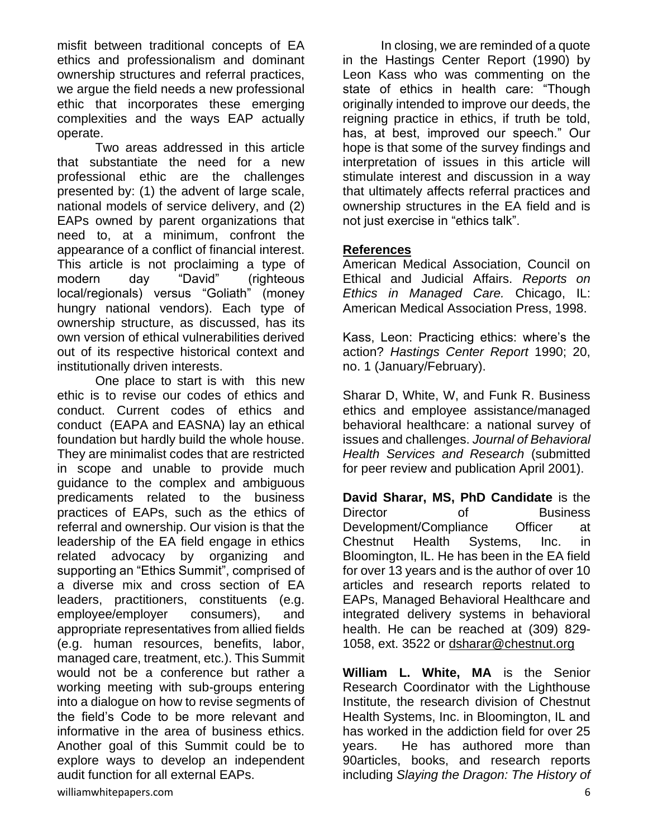misfit between traditional concepts of EA ethics and professionalism and dominant ownership structures and referral practices, we argue the field needs a new professional ethic that incorporates these emerging complexities and the ways EAP actually operate.

Two areas addressed in this article that substantiate the need for a new professional ethic are the challenges presented by: (1) the advent of large scale, national models of service delivery, and (2) EAPs owned by parent organizations that need to, at a minimum, confront the appearance of a conflict of financial interest. This article is not proclaiming a type of modern day "David" (righteous local/regionals) versus "Goliath" (money hungry national vendors). Each type of ownership structure, as discussed, has its own version of ethical vulnerabilities derived out of its respective historical context and institutionally driven interests.

One place to start is with this new ethic is to revise our codes of ethics and conduct. Current codes of ethics and conduct (EAPA and EASNA) lay an ethical foundation but hardly build the whole house. They are minimalist codes that are restricted in scope and unable to provide much guidance to the complex and ambiguous predicaments related to the business practices of EAPs, such as the ethics of referral and ownership. Our vision is that the leadership of the EA field engage in ethics related advocacy by organizing and supporting an "Ethics Summit", comprised of a diverse mix and cross section of EA leaders, practitioners, constituents (e.g. employee/employer consumers), and appropriate representatives from allied fields (e.g. human resources, benefits, labor, managed care, treatment, etc.). This Summit would not be a conference but rather a working meeting with sub-groups entering into a dialogue on how to revise segments of the field's Code to be more relevant and informative in the area of business ethics. Another goal of this Summit could be to explore ways to develop an independent audit function for all external EAPs.

In closing, we are reminded of a quote in the Hastings Center Report (1990) by Leon Kass who was commenting on the state of ethics in health care: "Though originally intended to improve our deeds, the reigning practice in ethics, if truth be told, has, at best, improved our speech." Our hope is that some of the survey findings and interpretation of issues in this article will stimulate interest and discussion in a way that ultimately affects referral practices and ownership structures in the EA field and is not just exercise in "ethics talk".

#### **References**

American Medical Association, Council on Ethical and Judicial Affairs. *Reports on Ethics in Managed Care.* Chicago, IL: American Medical Association Press, 1998.

Kass, Leon: Practicing ethics: where's the action? *Hastings Center Report* 1990; 20, no. 1 (January/February).

Sharar D, White, W, and Funk R. Business ethics and employee assistance/managed behavioral healthcare: a national survey of issues and challenges. *Journal of Behavioral Health Services and Research* (submitted for peer review and publication April 2001).

**David Sharar, MS, PhD Candidate** is the Director of Business Development/Compliance Officer at Chestnut Health Systems, Inc. in Bloomington, IL. He has been in the EA field for over 13 years and is the author of over 10 articles and research reports related to EAPs, Managed Behavioral Healthcare and integrated delivery systems in behavioral health. He can be reached at (309) 829- 1058, ext. 3522 or [dsharar@chestnut.org](mailto:dsharar@chestnut.org)

**William L. White, MA** is the Senior Research Coordinator with the Lighthouse Institute, the research division of Chestnut Health Systems, Inc. in Bloomington, IL and has worked in the addiction field for over 25 years. He has authored more than 90articles, books, and research reports including *Slaying the Dragon: The History of*